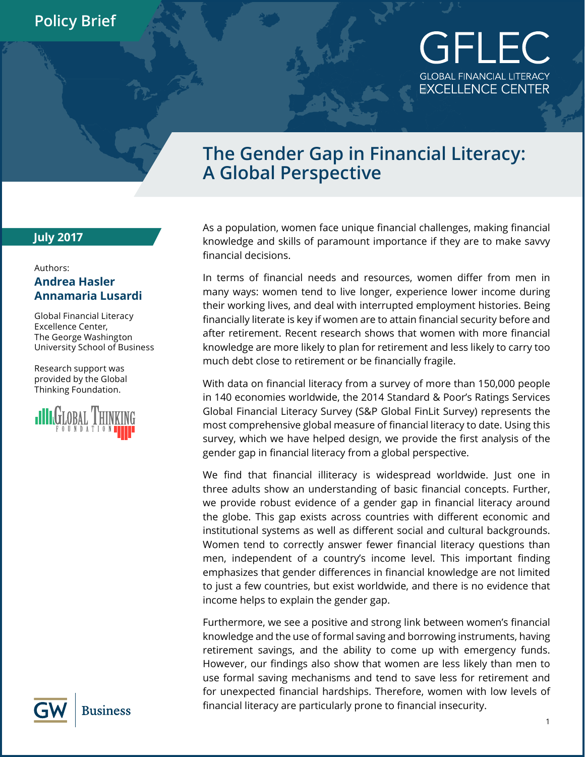## GFLEC **GLOBAL FINANCIAL LITERACY** EXCELLENCE CENTER

## **The Gender Gap in Financial Literacy: A Global Perspective**

## **July 2017**

## Authors: **Andrea Hasler Annamaria Lusardi**

Global Financial Literacy Excellence Center, The George Washington University School of Business

Research support was provided by the Global Thinking Foundation.



As a population, women face unique financial challenges, making financial knowledge and skills of paramount importance if they are to make savvy financial decisions.

In terms of financial needs and resources, women differ from men in many ways: women tend to live longer, experience lower income during their working lives, and deal with interrupted employment histories. Being financially literate is key if women are to attain financial security before and after retirement. Recent research shows that women with more financial knowledge are more likely to plan for retirement and less likely to carry too much debt close to retirement or be financially fragile.

With data on financial literacy from a survey of more than 150,000 people in 140 economies worldwide, the 2014 Standard & Poor's Ratings Services Global Financial Literacy Survey (S&P Global FinLit Survey) represents the most comprehensive global measure of financial literacy to date. Using this survey, which we have helped design, we provide the first analysis of the gender gap in financial literacy from a global perspective.

We find that financial illiteracy is widespread worldwide. Just one in three adults show an understanding of basic financial concepts. Further, we provide robust evidence of a gender gap in financial literacy around the globe. This gap exists across countries with different economic and institutional systems as well as different social and cultural backgrounds. Women tend to correctly answer fewer financial literacy questions than men, independent of a country's income level. This important finding emphasizes that gender differences in financial knowledge are not limited to just a few countries, but exist worldwide, and there is no evidence that income helps to explain the gender gap.

Furthermore, we see a positive and strong link between women's financial knowledge and the use of formal saving and borrowing instruments, having retirement savings, and the ability to come up with emergency funds. However, our findings also show that women are less likely than men to use formal saving mechanisms and tend to save less for retirement and for unexpected financial hardships. Therefore, women with low levels of financial literacy are particularly prone to financial insecurity.